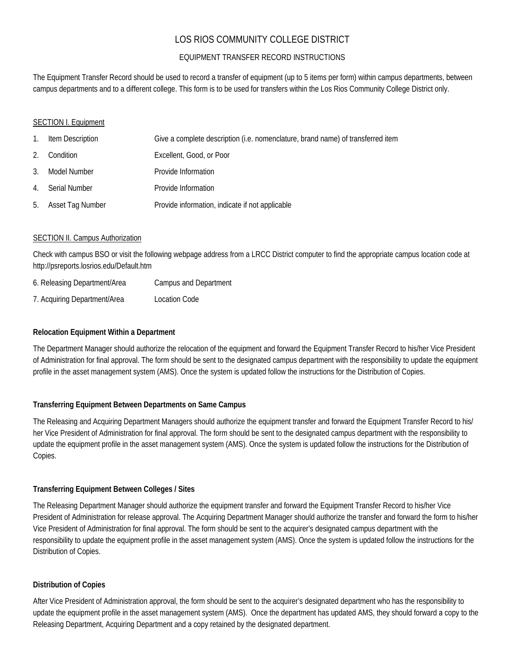## LOS RIOS COMMUNITY COLLEGE DISTRICT

## EQUIPMENT TRANSFER RECORD INSTRUCTIONS

The Equipment Transfer Record should be used to record a transfer of equipment (up to 5 items per form) within campus departments, between campus departments and to a different college. This form is to be used for transfers within the Los Rios Community College District only.

#### SECTION I. Equipment

| $\mathbf{1}$ . | Item Description    | Give a complete description (i.e. nomenclature, brand name) of transferred item |
|----------------|---------------------|---------------------------------------------------------------------------------|
| 2.             | Condition           | Excellent, Good, or Poor                                                        |
| 3.             | Model Number        | Provide Information                                                             |
|                | 4. Serial Number    | Provide Information                                                             |
|                | 5. Asset Tag Number | Provide information, indicate if not applicable                                 |

#### SECTION II. Campus Authorization

Check with campus BSO or visit the following webpage address from a LRCC District computer to find the appropriate campus location code at http://psreports.losrios.edu/Default.htm

| 6. Releasing Department/Area | <b>Campus and Department</b> |
|------------------------------|------------------------------|
|------------------------------|------------------------------|

7. Acquiring Department/Area Location Code

#### **Relocation Equipment Within a Department**

The Department Manager should authorize the relocation of the equipment and forward the Equipment Transfer Record to his/her Vice President of Administration for final approval. The form should be sent to the designated campus department with the responsibility to update the equipment profile in the asset management system (AMS). Once the system is updated follow the instructions for the Distribution of Copies.

#### **Transferring Equipment Between Departments on Same Campus**

The Releasing and Acquiring Department Managers should authorize the equipment transfer and forward the Equipment Transfer Record to his/ her Vice President of Administration for final approval. The form should be sent to the designated campus department with the responsibility to update the equipment profile in the asset management system (AMS). Once the system is updated follow the instructions for the Distribution of Copies.

#### **Transferring Equipment Between Colleges / Sites**

The Releasing Department Manager should authorize the equipment transfer and forward the Equipment Transfer Record to his/her Vice President of Administration for release approval. The Acquiring Department Manager should authorize the transfer and forward the form to his/her Vice President of Administration for final approval. The form should be sent to the acquirer's designated campus department with the responsibility to update the equipment profile in the asset management system (AMS). Once the system is updated follow the instructions for the Distribution of Copies.

#### **Distribution of Copies**

After Vice President of Administration approval, the form should be sent to the acquirer's designated department who has the responsibility to update the equipment profile in the asset management system (AMS). Once the department has updated AMS, they should forward a copy to the Releasing Department, Acquiring Department and a copy retained by the designated department.